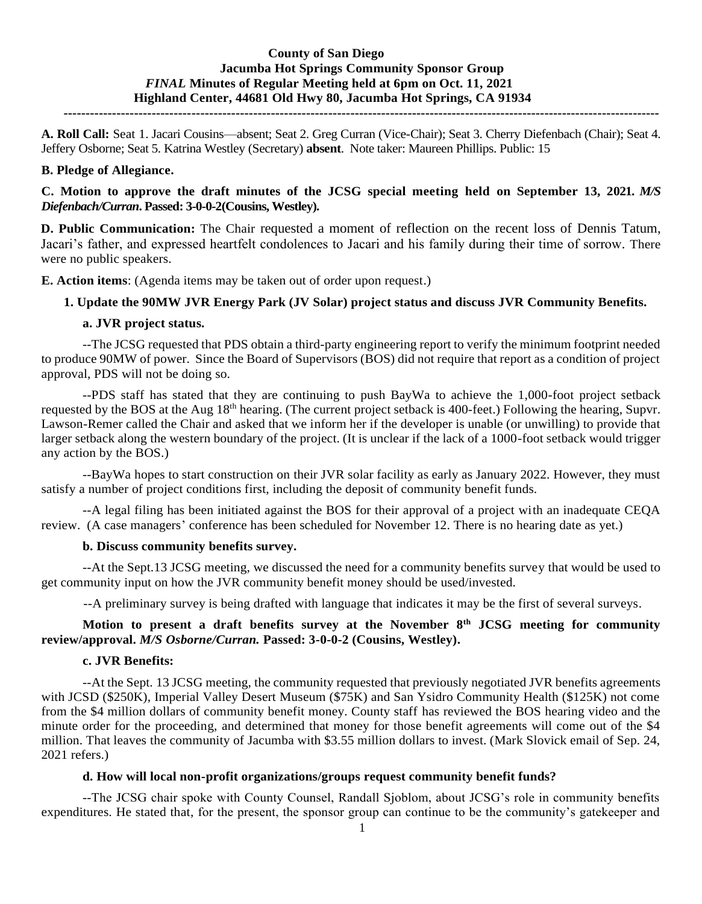# **County of San Diego Jacumba Hot Springs Community Sponsor Group** *FINAL* **Minutes of Regular Meeting held at 6pm on Oct. 11, 2021 Highland Center, 44681 Old Hwy 80, Jacumba Hot Springs, CA 91934**

**---------------------------------------------------------------------------------------------------------------------------------------**

**A. Roll Call:** Seat 1. Jacari Cousins—absent; Seat 2. Greg Curran (Vice-Chair); Seat 3. Cherry Diefenbach (Chair); Seat 4. Jeffery Osborne; Seat 5. Katrina Westley (Secretary) **absent**. Note taker: Maureen Phillips. Public: 15

#### **B. Pledge of Allegiance.**

# **C. Motion to approve the draft minutes of the JCSG special meeting held on September 13, 2021.** *M/S Diefenbach/Curran***. Passed: 3-0-0-2(Cousins, Westley).**

**D. Public Communication:** The Chair requested a moment of reflection on the recent loss of Dennis Tatum, Jacari's father, and expressed heartfelt condolences to Jacari and his family during their time of sorrow*.* There were no public speakers.

**E. Action items**: (Agenda items may be taken out of order upon request.)

## **1. Update the 90MW JVR Energy Park (JV Solar) project status and discuss JVR Community Benefits.**

## **a. JVR project status.**

--The JCSG requested that PDS obtain a third-party engineering report to verify the minimum footprint needed to produce 90MW of power. Since the Board of Supervisors (BOS) did not require that report as a condition of project approval, PDS will not be doing so.

--PDS staff has stated that they are continuing to push BayWa to achieve the 1,000-foot project setback requested by the BOS at the Aug 18th hearing. (The current project setback is 400-feet.) Following the hearing, Supvr. Lawson-Remer called the Chair and asked that we inform her if the developer is unable (or unwilling) to provide that larger setback along the western boundary of the project. (It is unclear if the lack of a 1000-foot setback would trigger any action by the BOS.)

--BayWa hopes to start construction on their JVR solar facility as early as January 2022. However, they must satisfy a number of project conditions first, including the deposit of community benefit funds.

--A legal filing has been initiated against the BOS for their approval of a project with an inadequate CEQA review. (A case managers' conference has been scheduled for November 12. There is no hearing date as yet.)

#### **b. Discuss community benefits survey.**

--At the Sept.13 JCSG meeting, we discussed the need for a community benefits survey that would be used to get community input on how the JVR community benefit money should be used/invested.

--A preliminary survey is being drafted with language that indicates it may be the first of several surveys.

# **Motion to present a draft benefits survey at the November 8th JCSG meeting for community review/approval.** *M/S Osborne/Curran.* **Passed: 3-0-0-2 (Cousins, Westley).**

#### **c. JVR Benefits:**

--At the Sept. 13 JCSG meeting, the community requested that previously negotiated JVR benefits agreements with JCSD (\$250K), Imperial Valley Desert Museum (\$75K) and San Ysidro Community Health (\$125K) not come from the \$4 million dollars of community benefit money. County staff has reviewed the BOS hearing video and the minute order for the proceeding, and determined that money for those benefit agreements will come out of the \$4 million. That leaves the community of Jacumba with \$3.55 million dollars to invest. (Mark Slovick email of Sep. 24, 2021 refers.)

## **d. How will local non-profit organizations/groups request community benefit funds?**

--The JCSG chair spoke with County Counsel, Randall Sjoblom, about JCSG's role in community benefits expenditures. He stated that, for the present, the sponsor group can continue to be the community's gatekeeper and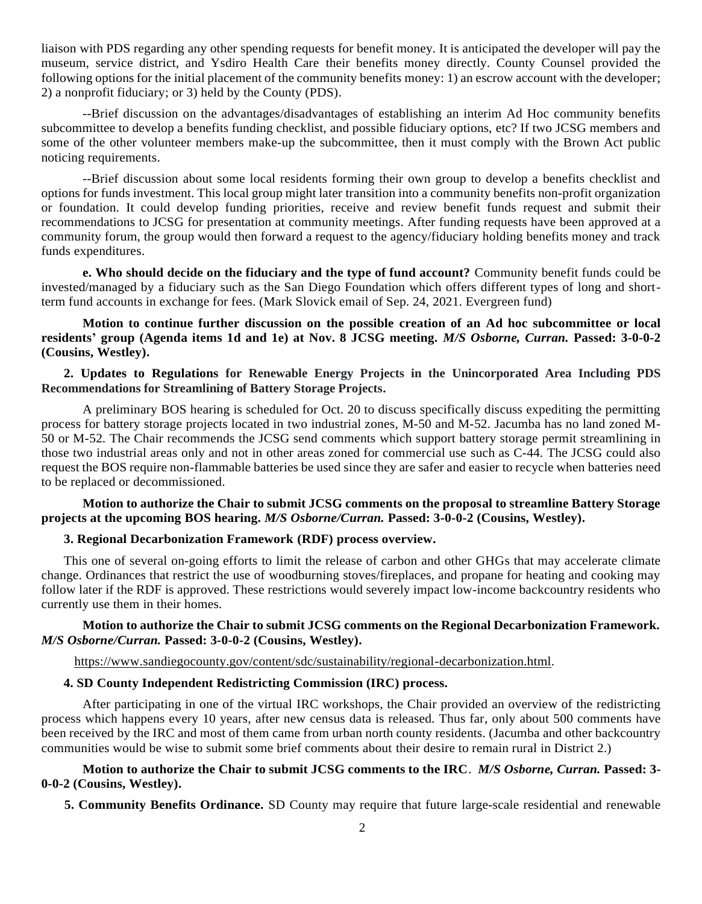liaison with PDS regarding any other spending requests for benefit money. It is anticipated the developer will pay the museum, service district, and Ysdiro Health Care their benefits money directly. County Counsel provided the following options for the initial placement of the community benefits money: 1) an escrow account with the developer; 2) a nonprofit fiduciary; or 3) held by the County (PDS).

--Brief discussion on the advantages/disadvantages of establishing an interim Ad Hoc community benefits subcommittee to develop a benefits funding checklist, and possible fiduciary options, etc? If two JCSG members and some of the other volunteer members make-up the subcommittee, then it must comply with the Brown Act public noticing requirements.

--Brief discussion about some local residents forming their own group to develop a benefits checklist and options for funds investment. This local group might later transition into a community benefits non-profit organization or foundation. It could develop funding priorities, receive and review benefit funds request and submit their recommendations to JCSG for presentation at community meetings. After funding requests have been approved at a community forum, the group would then forward a request to the agency/fiduciary holding benefits money and track funds expenditures.

**e. Who should decide on the fiduciary and the type of fund account?** Community benefit funds could be invested/managed by a fiduciary such as the San Diego Foundation which offers different types of long and shortterm fund accounts in exchange for fees. (Mark Slovick email of Sep. 24, 2021. Evergreen fund)

## **Motion to continue further discussion on the possible creation of an Ad hoc subcommittee or local residents' group (Agenda items 1d and 1e) at Nov. 8 JCSG meeting.** *M/S Osborne, Curran.* **Passed: 3-0-0-2 (Cousins, Westley).**

## **2. Updates to Regulations for Renewable Energy Projects in the Unincorporated Area Including PDS Recommendations for Streamlining of Battery Storage Projects.**

A preliminary BOS hearing is scheduled for Oct. 20 to discuss specifically discuss expediting the permitting process for battery storage projects located in two industrial zones, M-50 and M-52. Jacumba has no land zoned M-50 or M-52. The Chair recommends the JCSG send comments which support battery storage permit streamlining in those two industrial areas only and not in other areas zoned for commercial use such as C-44. The JCSG could also request the BOS require non-flammable batteries be used since they are safer and easier to recycle when batteries need to be replaced or decommissioned.

## **Motion to authorize the Chair to submit JCSG comments on the proposal to streamline Battery Storage projects at the upcoming BOS hearing.** *M/S Osborne/Curran.* **Passed: 3-0-0-2 (Cousins, Westley).**

### **3. Regional Decarbonization Framework (RDF) process overview.**

This one of several on-going efforts to limit the release of carbon and other GHGs that may accelerate climate change. Ordinances that restrict the use of woodburning stoves/fireplaces, and propane for heating and cooking may follow later if the RDF is approved. These restrictions would severely impact low-income backcountry residents who currently use them in their homes.

### **Motion to authorize the Chair to submit JCSG comments on the Regional Decarbonization Framework.** *M/S Osborne/Curran.* **Passed: 3-0-0-2 (Cousins, Westley).**

[https://www.sandiegocounty.gov/content/sdc/sustainability/regional-decarbonization.html.](about:blank)

#### **4. SD County Independent Redistricting Commission (IRC) process.**

After participating in one of the virtual IRC workshops, the Chair provided an overview of the redistricting process which happens every 10 years, after new census data is released. Thus far, only about 500 comments have been received by the IRC and most of them came from urban north county residents. (Jacumba and other backcountry communities would be wise to submit some brief comments about their desire to remain rural in District 2.)

### **Motion to authorize the Chair to submit JCSG comments to the IRC**. *M/S Osborne, Curran.* **Passed: 3- 0-0-2 (Cousins, Westley).**

 **5. Community Benefits Ordinance.** SD County may require that future large-scale residential and renewable